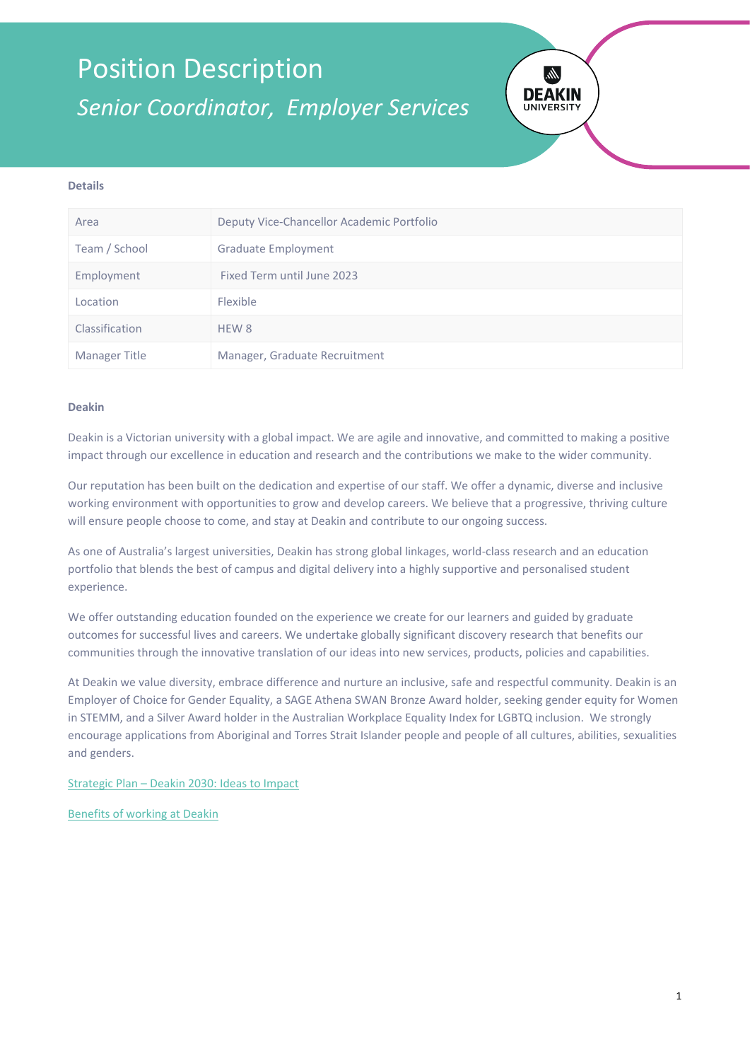## Position Description *Senior Coordinator, Employer Services*



### **Details**

| Area           | Deputy Vice-Chancellor Academic Portfolio |
|----------------|-------------------------------------------|
| Team / School  | <b>Graduate Employment</b>                |
| Employment     | Fixed Term until June 2023                |
| Location       | Flexible                                  |
| Classification | HEW 8                                     |
| Manager Title  | Manager, Graduate Recruitment             |

#### **Deakin**

Deakin is a Victorian university with a global impact. We are agile and innovative, and committed to making a positive impact through our excellence in education and research and the contributions we make to the wider community.

Our reputation has been built on the dedication and expertise of our staff. We offer a dynamic, diverse and inclusive working environment with opportunities to grow and develop careers. We believe that a progressive, thriving culture will ensure people choose to come, and stay at Deakin and contribute to our ongoing success.

As one of Australia's largest universities, Deakin has strong global linkages, world-class research and an education portfolio that blends the best of campus and digital delivery into a highly supportive and personalised student experience.

We offer outstanding education founded on the experience we create for our learners and guided by graduate outcomes for successful lives and careers. We undertake globally significant discovery research that benefits our communities through the innovative translation of our ideas into new services, products, policies and capabilities.

At Deakin we value diversity, embrace difference and nurture an inclusive, safe and respectful community. Deakin is an Employer of Choice for Gender Equality, a SAGE Athena SWAN Bronze Award holder, seeking gender equity for Women in STEMM, and a Silver Award holder in the Australian Workplace Equality Index for LGBTQ inclusion. We strongly encourage applications from Aboriginal and Torres Strait Islander people and people of all cultures, abilities, sexualities and genders.

Strategic Plan – [Deakin 2030: Ideas to Impact](https://www.deakin.edu.au/about-deakin/strategic-direction)

[Benefits of working at Deakin](http://deakin.edu.au/about-deakin/careers-at-deakin)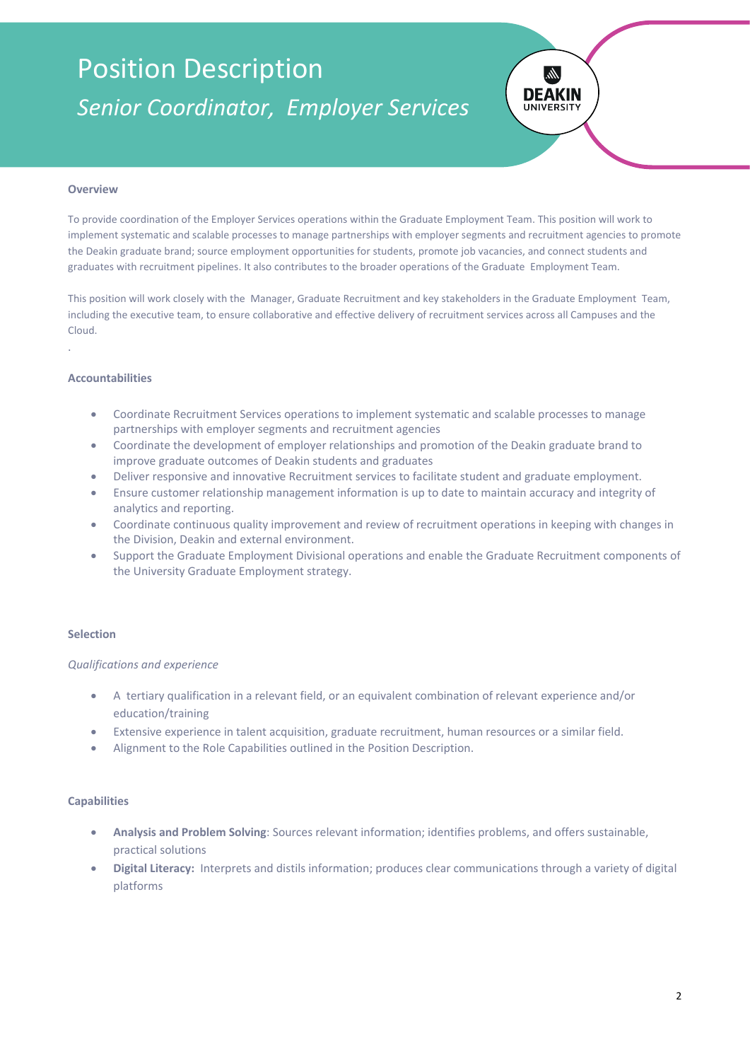## Position Description *Senior Coordinator, Employer Services*



### **Overview**

To provide coordination of the Employer Services operations within the Graduate Employment Team. This position will work to implement systematic and scalable processes to manage partnerships with employer segments and recruitment agencies to promote the Deakin graduate brand; source employment opportunities for students, promote job vacancies, and connect students and graduates with recruitment pipelines. It also contributes to the broader operations of the Graduate Employment Team.

This position will work closely with the Manager, Graduate Recruitment and key stakeholders in the Graduate Employment Team, including the executive team, to ensure collaborative and effective delivery of recruitment services across all Campuses and the Cloud.

#### **Accountabilities**

.

- Coordinate Recruitment Services operations to implement systematic and scalable processes to manage partnerships with employer segments and recruitment agencies
- Coordinate the development of employer relationships and promotion of the Deakin graduate brand to improve graduate outcomes of Deakin students and graduates
- Deliver responsive and innovative Recruitment services to facilitate student and graduate employment.
- Ensure customer relationship management information is up to date to maintain accuracy and integrity of analytics and reporting.
- Coordinate continuous quality improvement and review of recruitment operations in keeping with changes in the Division, Deakin and external environment.
- Support the Graduate Employment Divisional operations and enable the Graduate Recruitment components of the University Graduate Employment strategy.

### **Selection**

### *Qualifications and experience*

- A tertiary qualification in a relevant field, or an equivalent combination of relevant experience and/or education/training
- Extensive experience in talent acquisition, graduate recruitment, human resources or a similar field.
- Alignment to the Role Capabilities outlined in the Position Description.

#### **Capabilities**

- **Analysis and Problem Solving**: Sources relevant information; identifies problems, and offers sustainable, practical solutions
- **Digital Literacy:** Interprets and distils information; produces clear communications through a variety of digital platforms